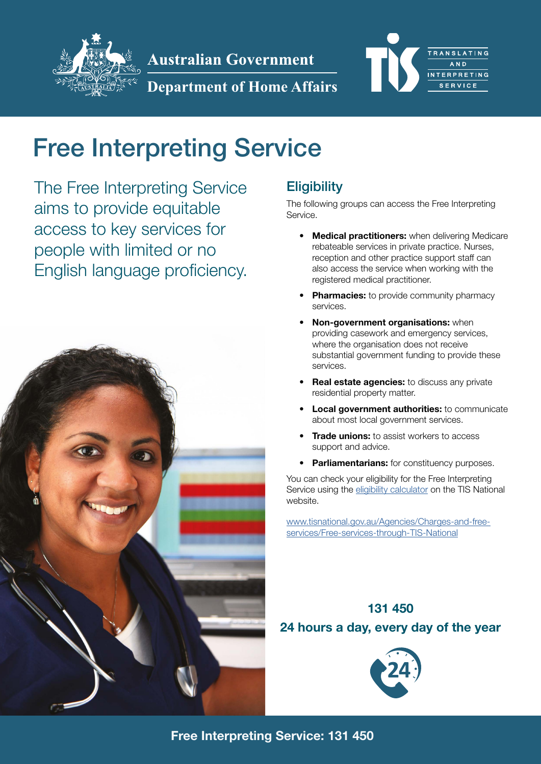

**Australian Government** 

**Department of Home Affairs**



# Free Interpreting Service

The Free Interpreting Service aims to provide equitable access to key services for people with limited or no English language proficiency.



# **Eligibility**

The following groups can access the Free Interpreting Service.

- Medical practitioners: when delivering Medicare rebateable services in private practice. Nurses, reception and other practice support staff can also access the service when working with the registered medical practitioner.
- **Pharmacies:** to provide community pharmacy services.
- Non-government organisations: when providing casework and emergency services, where the organisation does not receive substantial government funding to provide these services.
- Real estate agencies: to discuss any private residential property matter.
- **Local government authorities:** to communicate about most local government services.
- **Trade unions:** to assist workers to access support and advice.
- Parliamentarians: for constituency purposes.

You can check your eligibility for the Free Interpreting Service using the [eligibility calculator](https://www.tisnational.gov.au/Agencies/Charges-and-free-services/Free-services-through-TIS-National.aspx) on the TIS National website.

[www.tisnational.gov.au/Agencies/Charges-and-free](http://www.tisnational.gov.au/Agencies/Charges-and-free-services/Free-services-through-TIS-National )[services/Free-services-through-TIS-National](http://www.tisnational.gov.au/Agencies/Charges-and-free-services/Free-services-through-TIS-National )

# 131 450

#### 24 hours a day, every day of the year